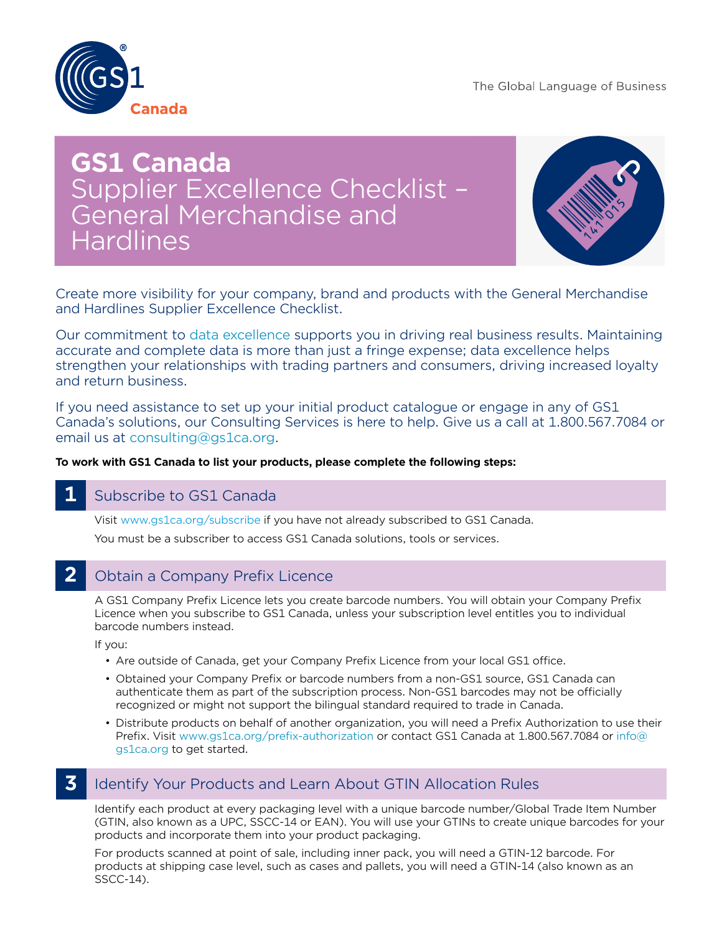The Global Language of Business



# **GS1 Canada**  Supplier Excellence Checklist – General Merchandise and Hardlines



Create more visibility for your company, brand and products with the General Merchandise and Hardlines Supplier Excellence Checklist.

Our commitment to [data excellence](http://www.gs1ca.org/pages/n/services/About-TrueSource-Data-Excellence.asp) supports you in driving real business results. Maintaining accurate and complete data is more than just a fringe expense; data excellence helps strengthen your relationships with trading partners and consumers, driving increased loyalty and return business.

If you need assistance to set up your initial product catalogue or engage in any of GS1 Canada's solutions, our Consulting Services is here to help. Give us a call at 1.800.567.7084 or email us at [consulting@gs1ca.org](mailto:consulting%40gs1ca.org?subject=).

### **To work with GS1 Canada to list your products, please complete the following steps:**

### **1** Subscribe to GS1 Canada

Visit [www.gs1ca.org/subscribe](http://www.gs1ca.org/subscribe) if you have not already subscribed to GS1 Canada. You must be a subscriber to access GS1 Canada solutions, tools or services.

#### **2** Obtain a Company Prefix Licence

A GS1 Company Prefix Licence lets you create barcode numbers. You will obtain your Company Prefix Licence when you subscribe to GS1 Canada, unless your subscription level entitles you to individual barcode numbers instead.

If you:

- Are outside of Canada, get your Company Prefix Licence from your local GS1 office.
- Obtained your Company Prefix or barcode numbers from a non-GS1 source, GS1 Canada can authenticate them as part of the subscription process. Non-GS1 barcodes may not be officially recognized or might not support the bilingual standard required to trade in Canada.
- Distribute products on behalf of another organization, you will need a Prefix Authorization to use their Prefix. Visit [www.gs1ca.org/prefix-authorization](http://www.gs1ca.org/prefix-authorization) or contact GS1 Canada at 1.800.567.7084 or [info@](mailto:info%40gs1ca.org?subject=) [gs1ca.org](mailto:info%40gs1ca.org?subject=) to get started.

# **3** Identify Your Products and Learn About GTIN Allocation Rules

Identify each product at every packaging level with a unique barcode number/Global Trade Item Number (GTIN, also known as a UPC, SSCC-14 or EAN). You will use your GTINs to create unique barcodes for your products and incorporate them into your product packaging.

For products scanned at point of sale, including inner pack, you will need a GTIN-12 barcode. For products at shipping case level, such as cases and pallets, you will need a GTIN-14 (also known as an SSCC-14).